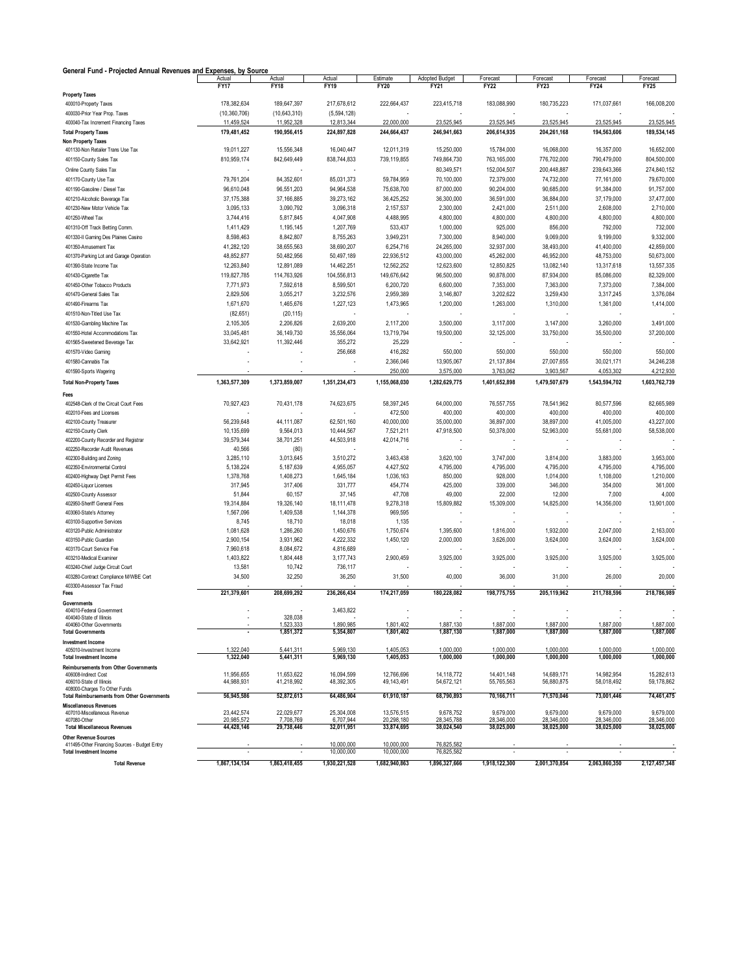| General Fund - Projected Annual Revenues and Expenses, by Source          |                        |                        |                        |                         |                        |                         |                         |                         |                         |
|---------------------------------------------------------------------------|------------------------|------------------------|------------------------|-------------------------|------------------------|-------------------------|-------------------------|-------------------------|-------------------------|
|                                                                           | Actual<br><b>FY17</b>  | Actual<br><b>FY18</b>  | Actual<br><b>FY19</b>  | Estimate<br><b>FY20</b> | Adopted Budget<br>FY21 | Forecast<br><b>FY22</b> | Forecast<br><b>FY23</b> | Forecast<br><b>FY24</b> | Forecast<br><b>FY25</b> |
| <b>Property Taxes</b>                                                     |                        |                        |                        |                         |                        |                         |                         |                         |                         |
| 400010-Property Taxes                                                     | 178.382.634            | 189,647,397            | 217.678.612            | 222,664,437             | 223.415.718            | 183,088,990             | 180,735,223             | 171,037,661             | 166.008.200             |
| 400030-Prior Year Prop. Taxes                                             | (10, 360, 706)         | (10,643,310)           | (5,594,128)            |                         |                        |                         |                         |                         |                         |
| 400040-Tax Increment Financing Taxes                                      | 11,459,524             | 11,952,328             | 12,813,344             | 22,000,000              | 23,525,945             | 23,525,945              | 23,525,945              | 23,525,945              | 23,525,945              |
| <b>Total Property Taxes</b>                                               | 179,481,452            | 190,956,415            | 224,897,828            | 244,664,437             | 246,941,663            | 206,614,935             | 204,261,168             | 194,563,606             | 189,534,145             |
| Non Property Taxes                                                        |                        |                        |                        |                         |                        |                         |                         |                         |                         |
| 401130-Non Retailer Trans Use Tax                                         | 19,011,227             | 15,556,348             | 16,040,447             | 12,011,319              | 15,250,000             | 15,784,000              | 16,068,000              | 16,357,000              | 16,652,000              |
| 401150-County Sales Tax                                                   | 810,959,174            | 842,649,449            | 838,744,833            | 739,119,855             | 749,864,730            | 763,165,000             | 776,702,000             | 790,479,000             | 804,500,000             |
| Online County Sales Tax                                                   |                        |                        |                        |                         | 80,349,571             | 152,004,507             | 200,448,887             | 239,643,366             | 274,840,152             |
| 401170-County Use Tax                                                     | 79,761,204             | 84,352,601             | 85,031,373             | 59,784,959              | 70,100,000             | 72,379,000              | 74,732,000              | 77,161,000              | 79,670,000              |
| 401190-Gasoline / Diesel Tax                                              | 96,610,048             | 96,551,203             | 94,964,538             | 75,638,700              | 87,000,000             | 90,204,000              | 90,685,000              | 91,384,000              | 91,757,000              |
| 401210-Alcoholic Beverage Tax                                             | 37,175,388             | 37,166,885             | 39,273,162             | 36,425,252              | 36,300,000             | 36,591,000              | 36,884,000              | 37,179,000              | 37,477,000              |
| 401230-New Motor Vehicle Tax                                              | 3,095,133              | 3,090,792              | 3,096,318              | 2,157,537               | 2,300,000              | 2,421,000               | 2,511,000               | 2,608,000               | 2,710,000               |
| 401250-Wheel Tax                                                          | 3,744,416              | 5,817,845              | 4,047,908              | 4,488,995               | 4,800,000              | 4,800,000               | 4,800,000               | 4,800,000               | 4,800,000               |
| 401310-Off Track Betting Comm.                                            | 1,411,429              | 1,195,145              | 1,207,769              | 533,437                 | 1,000,000              | 925,000                 | 856,000                 | 792,000                 | 732,000                 |
| 401330-II Gaming Des Plaines Casino                                       |                        |                        |                        |                         |                        |                         |                         |                         | 9,332,000               |
|                                                                           | 8,598,463              | 8,842,807              | 8,755,263              | 3,949,231               | 7,300,000              | 8,940,000               | 9,069,000               | 9,199,000               |                         |
| 401350-Amusement Tax                                                      | 41,282,120             | 38,655,563             | 38,690,207             | 6,254,716               | 24,265,000             | 32,937,000              | 38,493,000              | 41,400,000              | 42,859,000              |
| 401370-Parking Lot and Garage Operation                                   | 48,852,877             | 50,482,956             | 50,497,189             | 22,936,512              | 43,000,000             | 45,262,000              | 46,952,000              | 48,753,000              | 50,673,000              |
| 401390-State Income Tax                                                   | 12,263,840             | 12,891,089             | 14,462,251             | 12,562,252              | 12,623,600             | 12,850,825              | 13,082,140              | 13,317,618              | 13,557,335              |
| 401430-Cigarette Tax                                                      | 119,827,785            | 114,763,926            | 104,556,813            | 149,676,642             | 96,500,000             | 90,878,000              | 87,934,000              | 85,086,000              | 82,329,000              |
| 401450-Other Tobacco Products                                             | 7,771,973              | 7,592,618              | 8,599,501              | 6,200,720               | 6,600,000              | 7,353,000               | 7,363,000               | 7,373,000               | 7,384,000               |
| 401470-General Sales Tax                                                  | 2,829,506              | 3,055,217              | 3,232,576              | 2,959,389               | 3,146,807              | 3,202,622               | 3,259,430               | 3,317,245               | 3,376,084               |
| 401490-Firearms Tax                                                       | 1,671,670              | 1,465,676              | 1,227,123              | 1,473,965               | 1,200,000              | 1,263,000               | 1,310,000               | 1,361,000               | 1,414,000               |
| 401510-Non-Titled Use Tax                                                 | (82, 651)              | (20, 115)              |                        |                         |                        |                         |                         |                         |                         |
| 401530-Gambling Machine Tax                                               | 2,105,305              | 2,206,826              | 2,639,200              | 2,117,200               | 3,500,000              | 3,117,000               | 3,147,000               | 3,260,000               | 3,491,000               |
| 401550-Hotel Accommodations Tax                                           | 33,045,481             | 36,149,730             | 35,556,064             | 13,719,794              | 19,500,000             | 32,125,000              | 33,750,000              | 35,500,000              | 37,200,000              |
| 401565-Sweetened Beverage Tax                                             | 33,642,921             | 11,392,446             | 355,272                | 25,229                  |                        |                         |                         |                         |                         |
| 401570-Video Gaming                                                       |                        |                        | 256,668                | 416,282                 | 550,000                | 550,000                 | 550,000                 | 550,000                 | 550,000                 |
| 401580-Cannabis Tax                                                       |                        |                        |                        | 2,366,046               | 13,905,067             | 21,137,884              | 27,007,655              | 30,021,171              | 34,246,238              |
| 401590-Sports Wagering                                                    |                        |                        |                        | 250,000                 | 3,575,000              | 3,763,062               | 3,903,567               | 4,053,302               | 4,212,930               |
| <b>Total Non-Property Taxes</b>                                           | 1.363.577.309          | 1,373,859,007          | 1,351,234,473          | 1,155,068,030           | 1,282,629,775          | 1,401,652,898           | 1,479,507,679           | 1,543,594,702           | 1.603.762.739           |
|                                                                           |                        |                        |                        |                         |                        |                         |                         |                         |                         |
| Fees                                                                      |                        |                        |                        |                         |                        |                         |                         |                         |                         |
| 402548-Clerk of the Circuit Court Fees                                    | 70,927,423             | 70,431,178             | 74,623,675             | 58,397,245              | 64,000,000             | 76,557,755              | 78,541,962              | 80,577,596              | 82,665,989              |
| 402010-Fees and Licenses                                                  |                        |                        |                        | 472,500                 | 400,000                | 400,000                 | 400,000                 | 400,000                 | 400,000                 |
| 402100-County Treasurer                                                   | 56,239,648             | 44,111,087             | 62,501,160             | 40,000,000              | 35,000,000             | 36,897,000              | 38,897,000              | 41,005,000              | 43,227,000              |
| 402150-County Clerk                                                       | 10,135,699             | 9,564,013              | 10,444,567             | 7,521,211               | 47,918,500             | 50,378,000              | 52,963,000              | 55,681,000              | 58,538,000              |
| 402200-County Recorder and Registrar                                      | 39,579,344             | 38,701,251             | 44,503,918             | 42,014,716              |                        |                         |                         |                         |                         |
| 402250-Recorder Audit Revenues                                            | 40,566                 | (80)                   |                        |                         |                        |                         |                         |                         |                         |
| 402300-Building and Zoning                                                | 3,285,110              | 3,013,645              | 3,510,272              | 3,463,438               | 3,620,100              | 3,747,000               | 3,814,000               | 3,883,000               | 3,953,000               |
| 402350-Environmental Control                                              | 5,138,224              | 5,187,639              | 4,955,057              | 4,427,502               | 4,795,000              | 4,795,000               | 4,795,000               | 4,795,000               | 4,795,000               |
| 402400-Highway Dept Permit Fees                                           | 1,378,768              | 1,408,273              | 1,645,184              | 1,036,163               | 850,000                | 928,000                 | 1,014,000               | 1,108,000               | 1,210,000               |
| 402450-Liquor Licenses                                                    | 317,945                | 317,406                | 331,777                | 454,774                 | 425,000                | 339,000                 | 346,000                 | 354,000                 | 361,000                 |
| 402500-County Assessor                                                    | 51,844                 | 60,157                 | 37,145                 | 47,708                  | 49,000                 | 22,000                  | 12,000                  | 7,000                   | 4,000                   |
| 402950-Sheriff General Fees                                               | 19,314,884             | 19,326,140             | 18,111,478             | 9,278,318               | 15,809,882             | 15,309,000              | 14,825,000              | 14,356,000              | 13,901,000              |
| 403060-State's Attorney                                                   | 1,567,096              | 1,409,538              | 1,144,378              | 969,595                 |                        |                         |                         |                         |                         |
| 403100-Supportive Services                                                | 8,745                  | 18,710                 | 18,018                 | 1,135                   |                        |                         |                         |                         |                         |
| 403120-Public Administrator                                               | 1,081,628              | 1,286,260              | 1,450,676              | 1,750,674               | 1,395,600              | 1,816,000               | 1,932,000               | 2,047,000<br>3,624,000  | 2,163,000<br>3,624,000  |
| 403150-Public Guardian                                                    | 2,900,154              | 3,931,962              | 4,222,332              | 1,450,120               | 2,000,000              | 3,626,000               | 3,624,000               |                         |                         |
| 403170-Court Service Fee<br>403210-Medical Examiner                       | 7,960,618<br>1,403,822 | 8,084,672              | 4,816,689              | 2,900,459               | 3,925,000              | 3,925,000               | 3,925,000               | 3,925,000               | 3,925,000               |
|                                                                           | 13,581                 | 1,804,448<br>10,742    | 3,177,743<br>736,117   |                         |                        |                         |                         |                         |                         |
| 403240-Chief Judge Circuit Court<br>403280-Contract Compliance M/WBE Cert | 34,500                 | 32,250                 | 36,250                 | 31,500                  | 40,000                 | 36,000                  | 31,000                  | 26,000                  | 20,000                  |
| 403300-Assessor Tax Fraud                                                 |                        |                        |                        |                         |                        |                         |                         |                         |                         |
| Fees                                                                      | 221,379,601            | 208,699,292            | 236,266,434            | 174.217.059             | 180,228,082            | 198,775,755             | 205,119,962             | 211,788,596             | 218,786,989             |
| Governments                                                               |                        |                        |                        |                         |                        |                         |                         |                         |                         |
| 404010-Federal Government                                                 |                        |                        | 3,463,822              |                         |                        |                         |                         |                         |                         |
| 404040-State of Illinois                                                  |                        | 328,038                |                        |                         |                        |                         |                         |                         |                         |
| 404060-Other Governments<br><b>Total Governments</b>                      |                        | 1,523,333<br>1,851,372 | 1,890,985<br>5,354,807 | 1,801,402<br>1,801,402  | 1,887,130<br>1,887,130 | 1,887,000<br>1,887,000  | 1,887,000<br>1,887,000  | 1,887,000<br>1,887,000  | 1,887,000<br>1,887,000  |
|                                                                           |                        |                        |                        |                         |                        |                         |                         |                         |                         |
| Investment Income<br>405010-Investment Income                             | 1,322,040              | 5,441,311              | 5,969,130              | 1,405,053               | 1,000,000              | 1,000,000               | 1,000,000               | 1,000,000               | 1,000,000               |
| <b>Total Investment Income</b>                                            | 1,322,040              | 5,441,311              | 5,969,130              | 1,405,053               | 1,000,000              | 1,000,000               | 1,000,000               | 1,000,000               | 1,000,000               |
| <b>Reimbursements from Other Governments</b>                              |                        |                        |                        |                         |                        |                         |                         |                         |                         |
| 406008-Indirect Cost                                                      | 11.956.655             | 11,653,622             | 16.094.599             | 12,766,696              | 14,118,772             | 14,401,148              | 14,689,171              | 14,982,954              | 15.282.613              |
| 406010-State of Illinois                                                  | 44,988,931             | 41,218,992             | 48,392,305             | 49,143,491              | 54,672,121             | 55,765,563              | 56,880,875              | 58,018,492              | 59,178,862              |
| 408000-Charges To Other Funds                                             |                        |                        |                        |                         |                        |                         | 71,570,046              |                         |                         |
| <b>Total Reimbursements from Other Governments</b>                        | 56,945,586             | 52,872,613             | 64,486,904             | 61,910,187              | 68,790,893             | 70,166,711              |                         | 73,001,446              | 74,461,475              |
| Miscellaneous Revenues<br>407010-Miscellaneous Revenue                    | 23,442,574             | 22,029,677             | 25,304,008             | 13,576,515              | 9,678,752              | 9,679,000               | 9,679,000               | 9,679,000               | 9,679,000               |
| 407080-Other                                                              | 20,985,572             | 7,708,769              | 6,707,944              | 20,298,180              | 28,345,788             | 28,346,000              | 28,346,000              | 28,346,000              | 28,346,000              |
| <b>Total Miscellaneous Revenues</b>                                       | 44,428,146             | 29,738,446             | 32,011,951             | 33,874,695              | 38,024,540             | 38,025,000              | 38,025,000              | 38,025,000              | 38,025,000              |
| <b>Other Revenue Sources</b>                                              |                        |                        |                        |                         |                        |                         |                         |                         |                         |
| 411495-Other Financing Sources - Budget Entry                             |                        |                        | 10,000,000             | 10,000,000              | 76,825,582             |                         |                         |                         |                         |
| <b>Total Investment Income</b>                                            |                        |                        | 10,000,000             | 10,000,000              | 76,825,582             |                         |                         |                         |                         |
| <b>Total Revenue</b>                                                      | 1,867,134,134          | 1,863,418,455          | 1,930,221,528          | 1,682,940,863           | 1,896,327,666          | 1,918,122,300           | 2,001,370,854           | 2,063,860,350           | 2,127,457,348           |